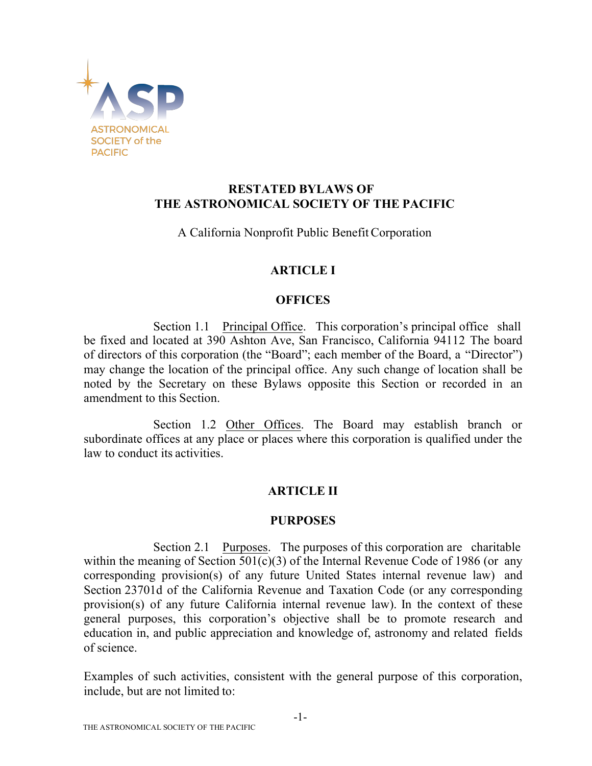

# **RESTATED BYLAWS OF THE ASTRONOMICAL SOCIETY OF THE PACIFIC**

A California Nonprofit Public BenefitCorporation

# **ARTICLE I**

## **OFFICES**

Section 1.1 Principal Office. This corporation's principal office shall be fixed and located at 390 Ashton Ave, San Francisco, California 94112 The board of directors of this corporation (the "Board"; each member of the Board, a "Director") may change the location of the principal office. Any such change of location shall be noted by the Secretary on these Bylaws opposite this Section or recorded in an amendment to this Section.

Section 1.2 Other Offices. The Board may establish branch or subordinate offices at any place or places where this corporation is qualified under the law to conduct its activities.

# **ARTICLE II**

### **PURPOSES**

Section 2.1 Purposes. The purposes of this corporation are charitable within the meaning of Section  $501(c)(3)$  of the Internal Revenue Code of 1986 (or any corresponding provision(s) of any future United States internal revenue law) and Section 23701d of the California Revenue and Taxation Code (or any corresponding provision(s) of any future California internal revenue law). In the context of these general purposes, this corporation's objective shall be to promote research and education in, and public appreciation and knowledge of, astronomy and related fields of science.

Examples of such activities, consistent with the general purpose of this corporation, include, but are not limited to: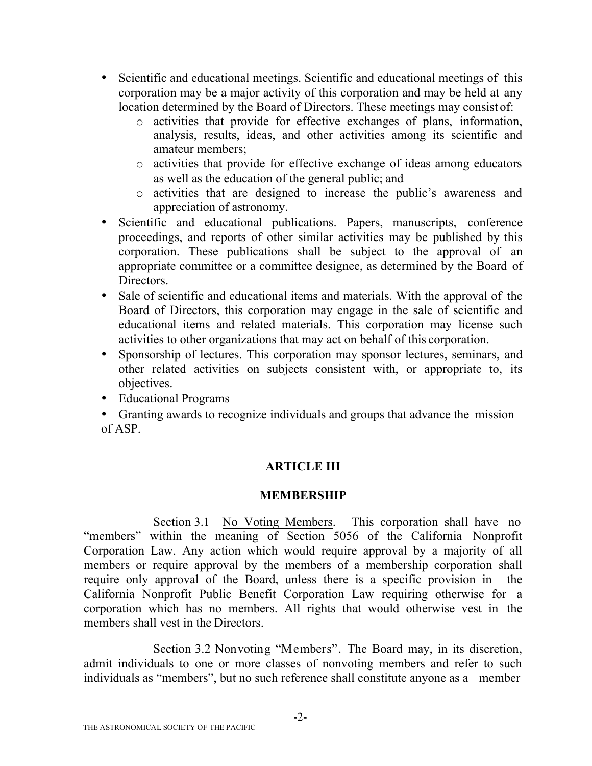- Scientific and educational meetings. Scientific and educational meetings of this corporation may be a major activity of this corporation and may be held at any location determined by the Board of Directors. These meetings may consist of:
	- o activities that provide for effective exchanges of plans, information, analysis, results, ideas, and other activities among its scientific and amateur members;
	- o activities that provide for effective exchange of ideas among educators as well as the education of the general public; and
	- o activities that are designed to increase the public's awareness and appreciation of astronomy.
- Scientific and educational publications. Papers, manuscripts, conference proceedings, and reports of other similar activities may be published by this corporation. These publications shall be subject to the approval of an appropriate committee or a committee designee, as determined by the Board of Directors.
- Sale of scientific and educational items and materials. With the approval of the Board of Directors, this corporation may engage in the sale of scientific and educational items and related materials. This corporation may license such activities to other organizations that may act on behalf of this corporation.
- Sponsorship of lectures. This corporation may sponsor lectures, seminars, and other related activities on subjects consistent with, or appropriate to, its objectives.
- Educational Programs
- Granting awards to recognize individuals and groups that advance the mission of ASP.

# **ARTICLE III**

# **MEMBERSHIP**

Section 3.1 No Voting Members. This corporation shall have no "members" within the meaning of Section 5056 of the California Nonprofit Corporation Law. Any action which would require approval by a majority of all members or require approval by the members of a membership corporation shall require only approval of the Board, unless there is a specific provision in the California Nonprofit Public Benefit Corporation Law requiring otherwise for a corporation which has no members. All rights that would otherwise vest in the members shall vest in the Directors.

Section 3.2 Nonvoting "Members". The Board may, in its discretion, admit individuals to one or more classes of nonvoting members and refer to such individuals as "members", but no such reference shall constitute anyone as a member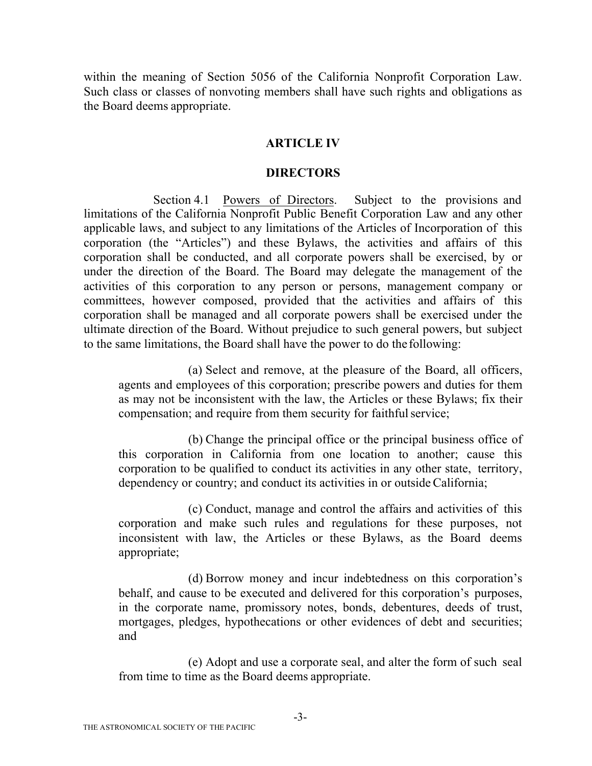within the meaning of Section 5056 of the California Nonprofit Corporation Law. Such class or classes of nonvoting members shall have such rights and obligations as the Board deems appropriate.

#### **ARTICLE IV**

#### **DIRECTORS**

Section 4.1 Powers of Directors. Subject to the provisions and limitations of the California Nonprofit Public Benefit Corporation Law and any other applicable laws, and subject to any limitations of the Articles of Incorporation of this corporation (the "Articles") and these Bylaws, the activities and affairs of this corporation shall be conducted, and all corporate powers shall be exercised, by or under the direction of the Board. The Board may delegate the management of the activities of this corporation to any person or persons, management company or committees, however composed, provided that the activities and affairs of this corporation shall be managed and all corporate powers shall be exercised under the ultimate direction of the Board. Without prejudice to such general powers, but subject to the same limitations, the Board shall have the power to do the following:

(a) Select and remove, at the pleasure of the Board, all officers, agents and employees of this corporation; prescribe powers and duties for them as may not be inconsistent with the law, the Articles or these Bylaws; fix their compensation; and require from them security for faithful service;

(b) Change the principal office or the principal business office of this corporation in California from one location to another; cause this corporation to be qualified to conduct its activities in any other state, territory, dependency or country; and conduct its activities in or outside California;

(c) Conduct, manage and control the affairs and activities of this corporation and make such rules and regulations for these purposes, not inconsistent with law, the Articles or these Bylaws, as the Board deems appropriate;

(d) Borrow money and incur indebtedness on this corporation's behalf, and cause to be executed and delivered for this corporation's purposes, in the corporate name, promissory notes, bonds, debentures, deeds of trust, mortgages, pledges, hypothecations or other evidences of debt and securities; and

(e) Adopt and use a corporate seal, and alter the form of such seal from time to time as the Board deems appropriate.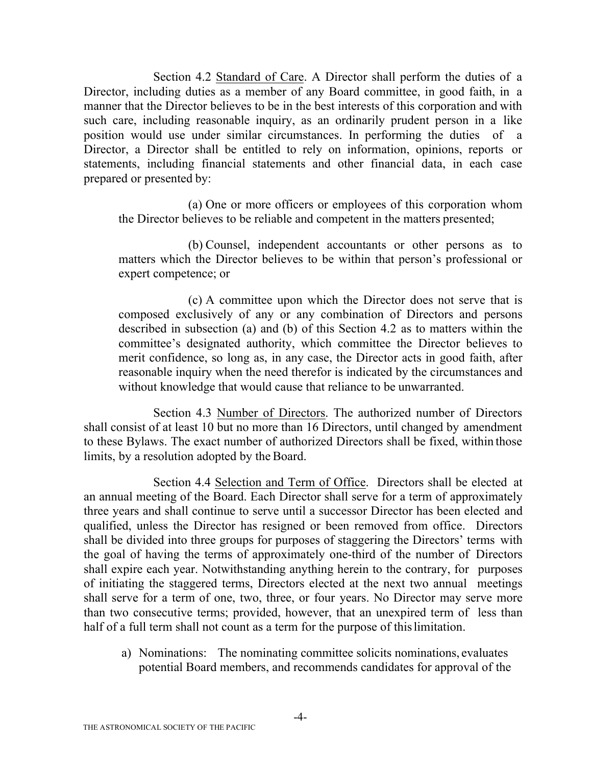Section 4.2 Standard of Care. A Director shall perform the duties of a Director, including duties as a member of any Board committee, in good faith, in a manner that the Director believes to be in the best interests of this corporation and with such care, including reasonable inquiry, as an ordinarily prudent person in a like position would use under similar circumstances. In performing the duties of a Director, a Director shall be entitled to rely on information, opinions, reports or statements, including financial statements and other financial data, in each case prepared or presented by:

(a) One or more officers or employees of this corporation whom the Director believes to be reliable and competent in the matters presented;

(b) Counsel, independent accountants or other persons as to matters which the Director believes to be within that person's professional or expert competence; or

(c) A committee upon which the Director does not serve that is composed exclusively of any or any combination of Directors and persons described in subsection (a) and (b) of this Section 4.2 as to matters within the committee's designated authority, which committee the Director believes to merit confidence, so long as, in any case, the Director acts in good faith, after reasonable inquiry when the need therefor is indicated by the circumstances and without knowledge that would cause that reliance to be unwarranted.

Section 4.3 Number of Directors. The authorized number of Directors shall consist of at least 10 but no more than 16 Directors, until changed by amendment to these Bylaws. The exact number of authorized Directors shall be fixed, within those limits, by a resolution adopted by the Board.

Section 4.4 Selection and Term of Office. Directors shall be elected at an annual meeting of the Board. Each Director shall serve for a term of approximately three years and shall continue to serve until a successor Director has been elected and qualified, unless the Director has resigned or been removed from office. Directors shall be divided into three groups for purposes of staggering the Directors' terms with the goal of having the terms of approximately one-third of the number of Directors shall expire each year. Notwithstanding anything herein to the contrary, for purposes of initiating the staggered terms, Directors elected at the next two annual meetings shall serve for a term of one, two, three, or four years. No Director may serve more than two consecutive terms; provided, however, that an unexpired term of less than half of a full term shall not count as a term for the purpose of this limitation.

a) Nominations: The nominating committee solicits nominations, evaluates potential Board members, and recommends candidates for approval of the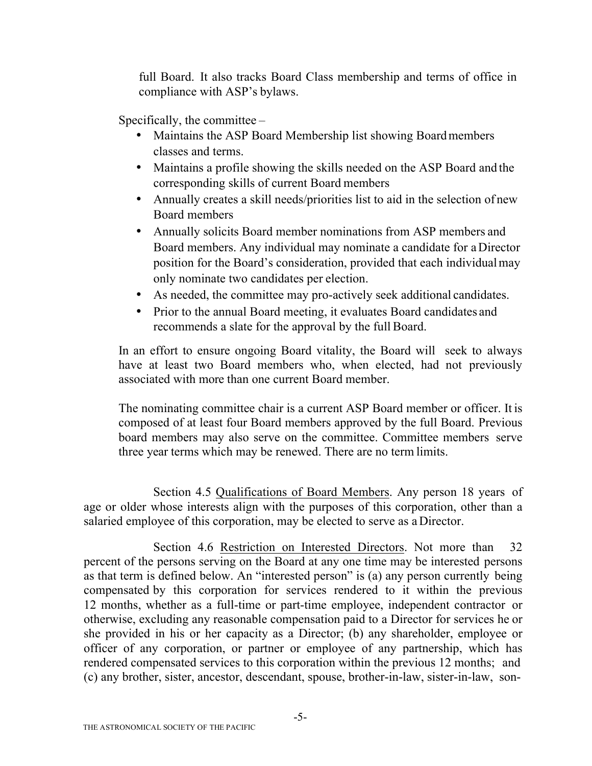full Board. It also tracks Board Class membership and terms of office in compliance with ASP's bylaws.

Specifically, the committee –

- Maintains the ASP Board Membership list showing Board members classes and terms.
- Maintains a profile showing the skills needed on the ASP Board and the corresponding skills of current Board members
- Annually creates a skill needs/priorities list to aid in the selection of new Board members
- Annually solicits Board member nominations from ASP members and Board members. Any individual may nominate a candidate for aDirector position for the Board's consideration, provided that each individualmay only nominate two candidates per election.
- As needed, the committee may pro-actively seek additional candidates.
- Prior to the annual Board meeting, it evaluates Board candidates and recommends a slate for the approval by the full Board.

In an effort to ensure ongoing Board vitality, the Board will seek to always have at least two Board members who, when elected, had not previously associated with more than one current Board member.

The nominating committee chair is a current ASP Board member or officer. It is composed of at least four Board members approved by the full Board. Previous board members may also serve on the committee. Committee members serve three year terms which may be renewed. There are no term limits.

Section 4.5 Qualifications of Board Members. Any person 18 years of age or older whose interests align with the purposes of this corporation, other than a salaried employee of this corporation, may be elected to serve as aDirector.

Section 4.6 Restriction on Interested Directors. Not more than 32 percent of the persons serving on the Board at any one time may be interested persons as that term is defined below. An "interested person" is (a) any person currently being compensated by this corporation for services rendered to it within the previous 12 months, whether as a full-time or part-time employee, independent contractor or otherwise, excluding any reasonable compensation paid to a Director for services he or she provided in his or her capacity as a Director; (b) any shareholder, employee or officer of any corporation, or partner or employee of any partnership, which has rendered compensated services to this corporation within the previous 12 months; and (c) any brother, sister, ancestor, descendant, spouse, brother-in-law, sister-in-law, son-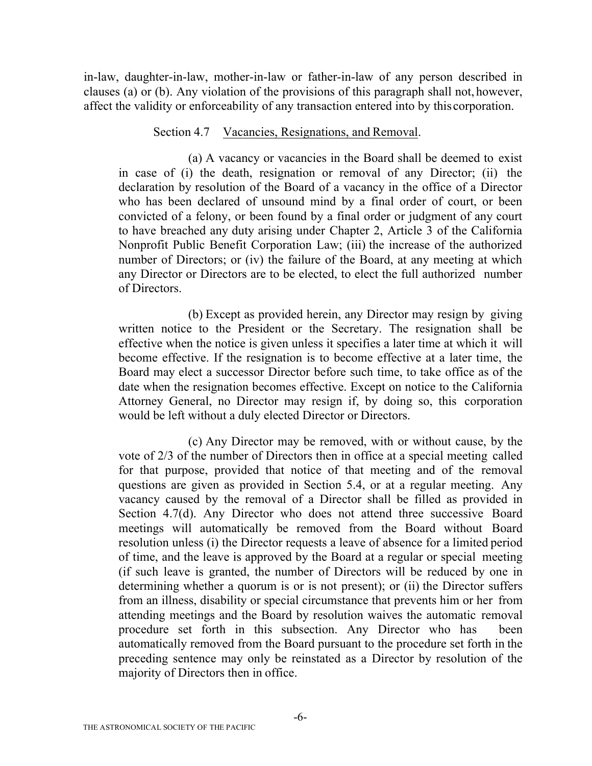in-law, daughter-in-law, mother-in-law or father-in-law of any person described in clauses (a) or (b). Any violation of the provisions of this paragraph shall not, however, affect the validity or enforceability of any transaction entered into by this corporation.

#### Section 4.7 Vacancies, Resignations, and Removal.

(a) A vacancy or vacancies in the Board shall be deemed to exist in case of (i) the death, resignation or removal of any Director; (ii) the declaration by resolution of the Board of a vacancy in the office of a Director who has been declared of unsound mind by a final order of court, or been convicted of a felony, or been found by a final order or judgment of any court to have breached any duty arising under Chapter 2, Article 3 of the California Nonprofit Public Benefit Corporation Law; (iii) the increase of the authorized number of Directors; or (iv) the failure of the Board, at any meeting at which any Director or Directors are to be elected, to elect the full authorized number of Directors.

(b) Except as provided herein, any Director may resign by giving written notice to the President or the Secretary. The resignation shall be effective when the notice is given unless it specifies a later time at which it will become effective. If the resignation is to become effective at a later time, the Board may elect a successor Director before such time, to take office as of the date when the resignation becomes effective. Except on notice to the California Attorney General, no Director may resign if, by doing so, this corporation would be left without a duly elected Director or Directors.

(c) Any Director may be removed, with or without cause, by the vote of 2/3 of the number of Directors then in office at a special meeting called for that purpose, provided that notice of that meeting and of the removal questions are given as provided in Section 5.4, or at a regular meeting. Any vacancy caused by the removal of a Director shall be filled as provided in Section 4.7(d). Any Director who does not attend three successive Board meetings will automatically be removed from the Board without Board resolution unless (i) the Director requests a leave of absence for a limited period of time, and the leave is approved by the Board at a regular or special meeting (if such leave is granted, the number of Directors will be reduced by one in determining whether a quorum is or is not present); or (ii) the Director suffers from an illness, disability or special circumstance that prevents him or her from attending meetings and the Board by resolution waives the automatic removal procedure set forth in this subsection. Any Director who has been automatically removed from the Board pursuant to the procedure set forth in the preceding sentence may only be reinstated as a Director by resolution of the majority of Directors then in office.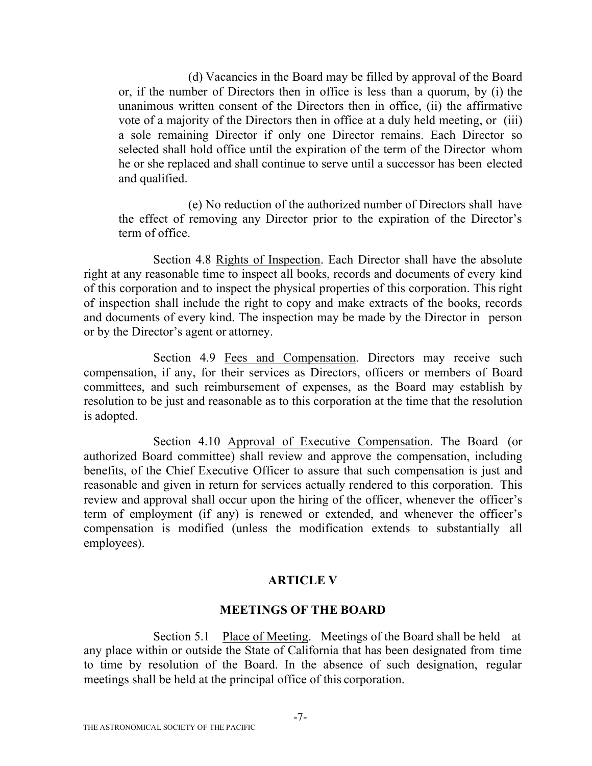(d) Vacancies in the Board may be filled by approval of the Board or, if the number of Directors then in office is less than a quorum, by (i) the unanimous written consent of the Directors then in office, (ii) the affirmative vote of a majority of the Directors then in office at a duly held meeting, or (iii) a sole remaining Director if only one Director remains. Each Director so selected shall hold office until the expiration of the term of the Director whom he or she replaced and shall continue to serve until a successor has been elected and qualified.

(e) No reduction of the authorized number of Directors shall have the effect of removing any Director prior to the expiration of the Director's term of office.

Section 4.8 Rights of Inspection. Each Director shall have the absolute right at any reasonable time to inspect all books, records and documents of every kind of this corporation and to inspect the physical properties of this corporation. This right of inspection shall include the right to copy and make extracts of the books, records and documents of every kind. The inspection may be made by the Director in person or by the Director's agent or attorney.

Section 4.9 Fees and Compensation. Directors may receive such compensation, if any, for their services as Directors, officers or members of Board committees, and such reimbursement of expenses, as the Board may establish by resolution to be just and reasonable as to this corporation at the time that the resolution is adopted.

Section 4.10 Approval of Executive Compensation. The Board (or authorized Board committee) shall review and approve the compensation, including benefits, of the Chief Executive Officer to assure that such compensation is just and reasonable and given in return for services actually rendered to this corporation. This review and approval shall occur upon the hiring of the officer, whenever the officer's term of employment (if any) is renewed or extended, and whenever the officer's compensation is modified (unless the modification extends to substantially all employees).

# **ARTICLE V**

### **MEETINGS OF THE BOARD**

Section 5.1 Place of Meeting. Meetings of the Board shall be held at any place within or outside the State of California that has been designated from time to time by resolution of the Board. In the absence of such designation, regular meetings shall be held at the principal office of this corporation.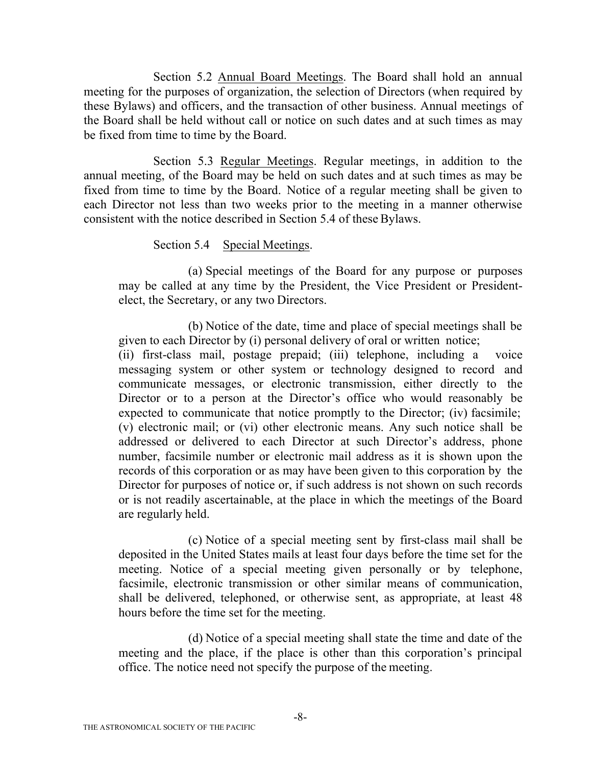Section 5.2 Annual Board Meetings. The Board shall hold an annual meeting for the purposes of organization, the selection of Directors (when required by these Bylaws) and officers, and the transaction of other business. Annual meetings of the Board shall be held without call or notice on such dates and at such times as may be fixed from time to time by the Board.

Section 5.3 Regular Meetings. Regular meetings, in addition to the annual meeting, of the Board may be held on such dates and at such times as may be fixed from time to time by the Board. Notice of a regular meeting shall be given to each Director not less than two weeks prior to the meeting in a manner otherwise consistent with the notice described in Section 5.4 of these Bylaws.

## Section 5.4 Special Meetings.

(a) Special meetings of the Board for any purpose or purposes may be called at any time by the President, the Vice President or Presidentelect, the Secretary, or any two Directors.

(b) Notice of the date, time and place of special meetings shall be given to each Director by (i) personal delivery of oral or written notice; (ii) first-class mail, postage prepaid; (iii) telephone, including a voice messaging system or other system or technology designed to record and communicate messages, or electronic transmission, either directly to the Director or to a person at the Director's office who would reasonably be expected to communicate that notice promptly to the Director; (iv) facsimile; (v) electronic mail; or (vi) other electronic means. Any such notice shall be addressed or delivered to each Director at such Director's address, phone number, facsimile number or electronic mail address as it is shown upon the records of this corporation or as may have been given to this corporation by the Director for purposes of notice or, if such address is not shown on such records or is not readily ascertainable, at the place in which the meetings of the Board are regularly held.

(c) Notice of a special meeting sent by first-class mail shall be deposited in the United States mails at least four days before the time set for the meeting. Notice of a special meeting given personally or by telephone, facsimile, electronic transmission or other similar means of communication, shall be delivered, telephoned, or otherwise sent, as appropriate, at least 48 hours before the time set for the meeting.

(d) Notice of a special meeting shall state the time and date of the meeting and the place, if the place is other than this corporation's principal office. The notice need not specify the purpose of the meeting.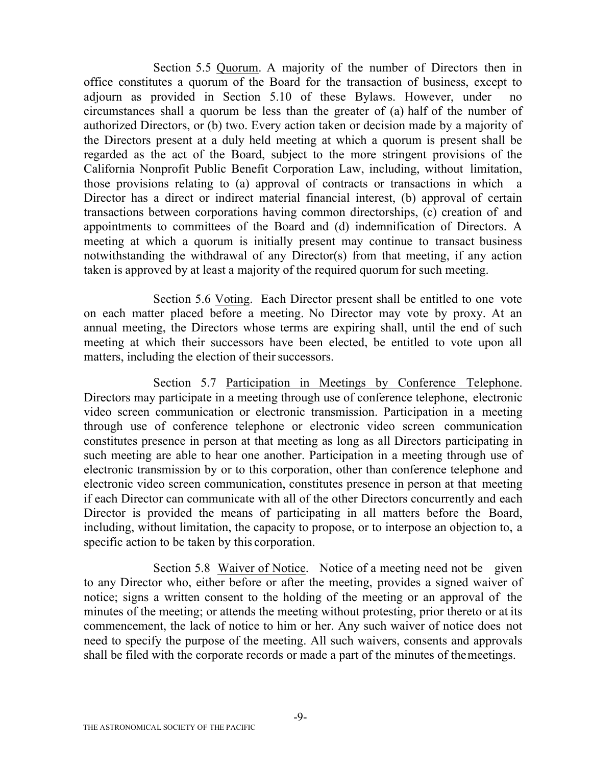Section 5.5 Quorum. A majority of the number of Directors then in office constitutes a quorum of the Board for the transaction of business, except to adjourn as provided in Section 5.10 of these Bylaws. However, under no circumstances shall a quorum be less than the greater of (a) half of the number of authorized Directors, or (b) two. Every action taken or decision made by a majority of the Directors present at a duly held meeting at which a quorum is present shall be regarded as the act of the Board, subject to the more stringent provisions of the California Nonprofit Public Benefit Corporation Law, including, without limitation, those provisions relating to (a) approval of contracts or transactions in which a Director has a direct or indirect material financial interest, (b) approval of certain transactions between corporations having common directorships, (c) creation of and appointments to committees of the Board and (d) indemnification of Directors. A meeting at which a quorum is initially present may continue to transact business notwithstanding the withdrawal of any Director(s) from that meeting, if any action taken is approved by at least a majority of the required quorum for such meeting.

Section 5.6 Voting. Each Director present shall be entitled to one vote on each matter placed before a meeting. No Director may vote by proxy. At an annual meeting, the Directors whose terms are expiring shall, until the end of such meeting at which their successors have been elected, be entitled to vote upon all matters, including the election of their successors.

Section 5.7 Participation in Meetings by Conference Telephone. Directors may participate in a meeting through use of conference telephone, electronic video screen communication or electronic transmission. Participation in a meeting through use of conference telephone or electronic video screen communication constitutes presence in person at that meeting as long as all Directors participating in such meeting are able to hear one another. Participation in a meeting through use of electronic transmission by or to this corporation, other than conference telephone and electronic video screen communication, constitutes presence in person at that meeting if each Director can communicate with all of the other Directors concurrently and each Director is provided the means of participating in all matters before the Board, including, without limitation, the capacity to propose, or to interpose an objection to, a specific action to be taken by this corporation.

Section 5.8 Waiver of Notice. Notice of a meeting need not be given to any Director who, either before or after the meeting, provides a signed waiver of notice; signs a written consent to the holding of the meeting or an approval of the minutes of the meeting; or attends the meeting without protesting, prior thereto or at its commencement, the lack of notice to him or her. Any such waiver of notice does not need to specify the purpose of the meeting. All such waivers, consents and approvals shall be filed with the corporate records or made a part of the minutes of themeetings.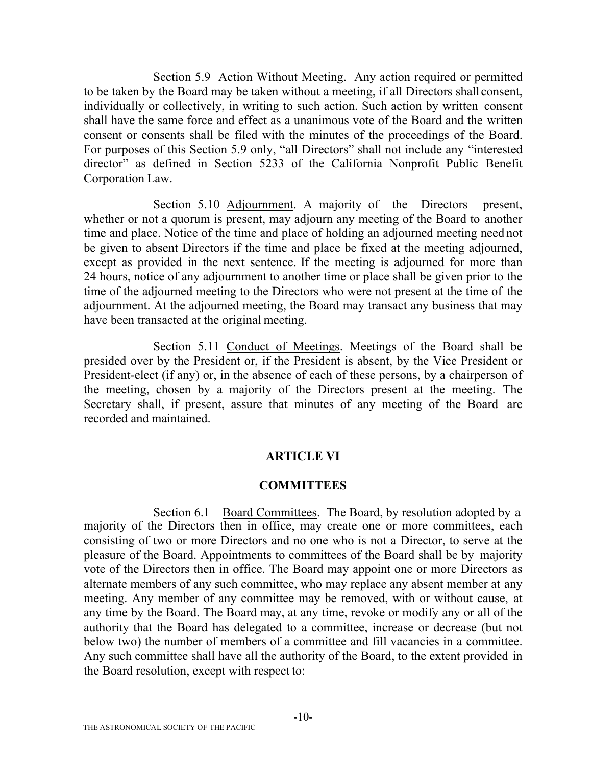Section 5.9 Action Without Meeting. Any action required or permitted to be taken by the Board may be taken without a meeting, if all Directors shall consent, individually or collectively, in writing to such action. Such action by written consent shall have the same force and effect as a unanimous vote of the Board and the written consent or consents shall be filed with the minutes of the proceedings of the Board. For purposes of this Section 5.9 only, "all Directors" shall not include any "interested director" as defined in Section 5233 of the California Nonprofit Public Benefit Corporation Law.

Section 5.10 Adjournment. A majority of the Directors present, whether or not a quorum is present, may adjourn any meeting of the Board to another time and place. Notice of the time and place of holding an adjourned meeting need not be given to absent Directors if the time and place be fixed at the meeting adjourned, except as provided in the next sentence. If the meeting is adjourned for more than 24 hours, notice of any adjournment to another time or place shall be given prior to the time of the adjourned meeting to the Directors who were not present at the time of the adjournment. At the adjourned meeting, the Board may transact any business that may have been transacted at the original meeting.

Section 5.11 Conduct of Meetings. Meetings of the Board shall be presided over by the President or, if the President is absent, by the Vice President or President-elect (if any) or, in the absence of each of these persons, by a chairperson of the meeting, chosen by a majority of the Directors present at the meeting. The Secretary shall, if present, assure that minutes of any meeting of the Board are recorded and maintained.

### **ARTICLE VI**

### **COMMITTEES**

Section 6.1 Board Committees. The Board, by resolution adopted by a majority of the Directors then in office, may create one or more committees, each consisting of two or more Directors and no one who is not a Director, to serve at the pleasure of the Board. Appointments to committees of the Board shall be by majority vote of the Directors then in office. The Board may appoint one or more Directors as alternate members of any such committee, who may replace any absent member at any meeting. Any member of any committee may be removed, with or without cause, at any time by the Board. The Board may, at any time, revoke or modify any or all of the authority that the Board has delegated to a committee, increase or decrease (but not below two) the number of members of a committee and fill vacancies in a committee. Any such committee shall have all the authority of the Board, to the extent provided in the Board resolution, except with respect to: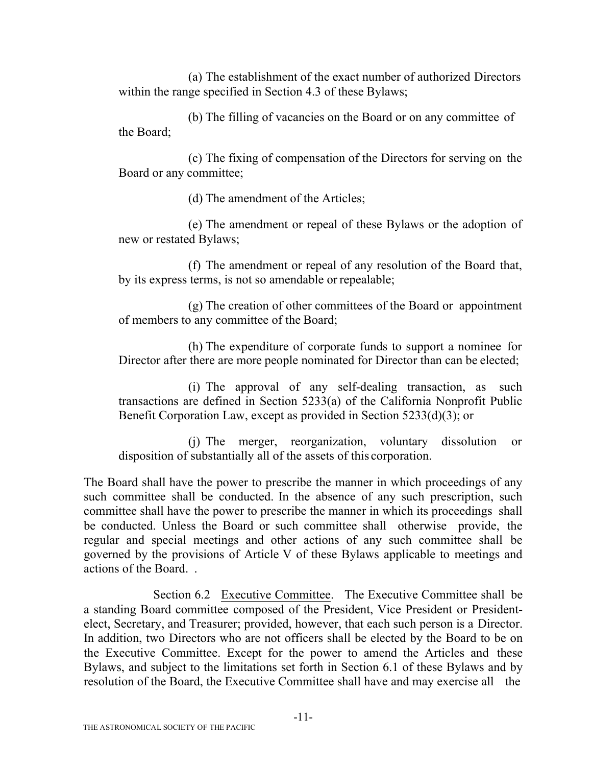(a) The establishment of the exact number of authorized Directors within the range specified in Section 4.3 of these Bylaws;

the Board; (b) The filling of vacancies on the Board or on any committee of

(c) The fixing of compensation of the Directors for serving on the Board or any committee;

(d) The amendment of the Articles;

(e) The amendment or repeal of these Bylaws or the adoption of new or restated Bylaws;

(f) The amendment or repeal of any resolution of the Board that, by its express terms, is not so amendable or repealable;

(g) The creation of other committees of the Board or appointment of members to any committee of the Board;

(h) The expenditure of corporate funds to support a nominee for Director after there are more people nominated for Director than can be elected;

(i) The approval of any self-dealing transaction, as such transactions are defined in Section 5233(a) of the California Nonprofit Public Benefit Corporation Law, except as provided in Section 5233(d)(3); or

(j) The merger, reorganization, voluntary dissolution or disposition of substantially all of the assets of this corporation.

The Board shall have the power to prescribe the manner in which proceedings of any such committee shall be conducted. In the absence of any such prescription, such committee shall have the power to prescribe the manner in which its proceedings shall be conducted. Unless the Board or such committee shall otherwise provide, the regular and special meetings and other actions of any such committee shall be governed by the provisions of Article V of these Bylaws applicable to meetings and actions of the Board. .

Section 6.2 Executive Committee. The Executive Committee shall be a standing Board committee composed of the President, Vice President or Presidentelect, Secretary, and Treasurer; provided, however, that each such person is a Director. In addition, two Directors who are not officers shall be elected by the Board to be on the Executive Committee. Except for the power to amend the Articles and these Bylaws, and subject to the limitations set forth in Section 6.1 of these Bylaws and by resolution of the Board, the Executive Committee shall have and may exercise all the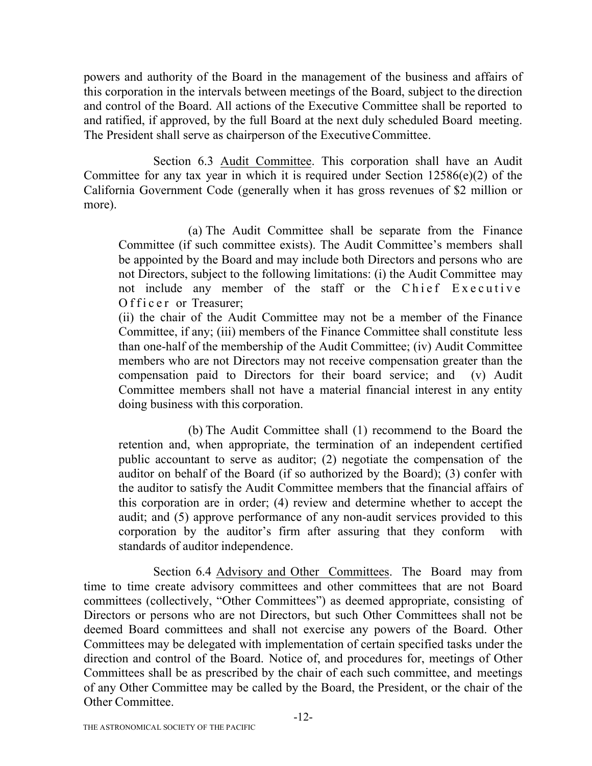powers and authority of the Board in the management of the business and affairs of this corporation in the intervals between meetings of the Board, subject to the direction and control of the Board. All actions of the Executive Committee shall be reported to and ratified, if approved, by the full Board at the next duly scheduled Board meeting. The President shall serve as chairperson of the Executive Committee.

Section 6.3 Audit Committee. This corporation shall have an Audit Committee for any tax year in which it is required under Section  $12586(e)(2)$  of the California Government Code (generally when it has gross revenues of \$2 million or more).

(a) The Audit Committee shall be separate from the Finance Committee (if such committee exists). The Audit Committee's members shall be appointed by the Board and may include both Directors and persons who are not Directors, subject to the following limitations: (i) the Audit Committee may not include any member of the staff or the Chief Executive Officer or Treasurer;

(ii) the chair of the Audit Committee may not be a member of the Finance Committee, if any; (iii) members of the Finance Committee shall constitute less than one-half of the membership of the Audit Committee; (iv) Audit Committee members who are not Directors may not receive compensation greater than the compensation paid to Directors for their board service; and (v) Audit Committee members shall not have a material financial interest in any entity doing business with this corporation.

(b) The Audit Committee shall (1) recommend to the Board the retention and, when appropriate, the termination of an independent certified public accountant to serve as auditor; (2) negotiate the compensation of the auditor on behalf of the Board (if so authorized by the Board); (3) confer with the auditor to satisfy the Audit Committee members that the financial affairs of this corporation are in order; (4) review and determine whether to accept the audit; and (5) approve performance of any non-audit services provided to this corporation by the auditor's firm after assuring that they conform with standards of auditor independence.

Section 6.4 Advisory and Other Committees. The Board may from time to time create advisory committees and other committees that are not Board committees (collectively, "Other Committees") as deemed appropriate, consisting of Directors or persons who are not Directors, but such Other Committees shall not be deemed Board committees and shall not exercise any powers of the Board. Other Committees may be delegated with implementation of certain specified tasks under the direction and control of the Board. Notice of, and procedures for, meetings of Other Committees shall be as prescribed by the chair of each such committee, and meetings of any Other Committee may be called by the Board, the President, or the chair of the Other Committee.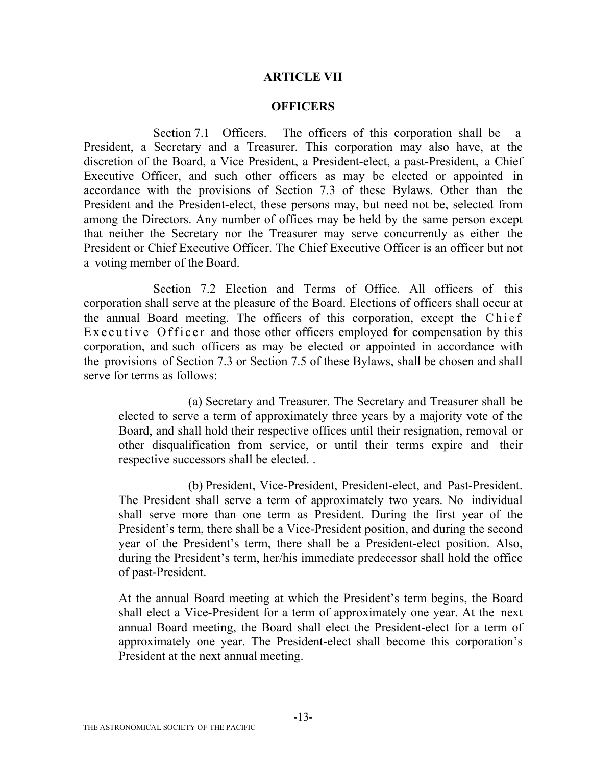#### **ARTICLE VII**

#### **OFFICERS**

Section 7.1 Officers. The officers of this corporation shall be a President, a Secretary and a Treasurer. This corporation may also have, at the discretion of the Board, a Vice President, a President-elect, a past-President, a Chief Executive Officer, and such other officers as may be elected or appointed in accordance with the provisions of Section 7.3 of these Bylaws. Other than the President and the President-elect, these persons may, but need not be, selected from among the Directors. Any number of offices may be held by the same person except that neither the Secretary nor the Treasurer may serve concurrently as either the President or Chief Executive Officer. The Chief Executive Officer is an officer but not a voting member of the Board.

Section 7.2 Election and Terms of Office. All officers of this corporation shall serve at the pleasure of the Board. Elections of officers shall occur at the annual Board meeting. The officers of this corporation, except the Chief Executive Officer and those other officers employed for compensation by this corporation, and such officers as may be elected or appointed in accordance with the provisions of Section 7.3 or Section 7.5 of these Bylaws, shall be chosen and shall serve for terms as follows:

(a) Secretary and Treasurer. The Secretary and Treasurer shall be elected to serve a term of approximately three years by a majority vote of the Board, and shall hold their respective offices until their resignation, removal or other disqualification from service, or until their terms expire and their respective successors shall be elected. .

(b) President, Vice-President, President-elect, and Past-President. The President shall serve a term of approximately two years. No individual shall serve more than one term as President. During the first year of the President's term, there shall be a Vice-President position, and during the second year of the President's term, there shall be a President-elect position. Also, during the President's term, her/his immediate predecessor shall hold the office of past-President.

At the annual Board meeting at which the President's term begins, the Board shall elect a Vice-President for a term of approximately one year. At the next annual Board meeting, the Board shall elect the President-elect for a term of approximately one year. The President-elect shall become this corporation's President at the next annual meeting.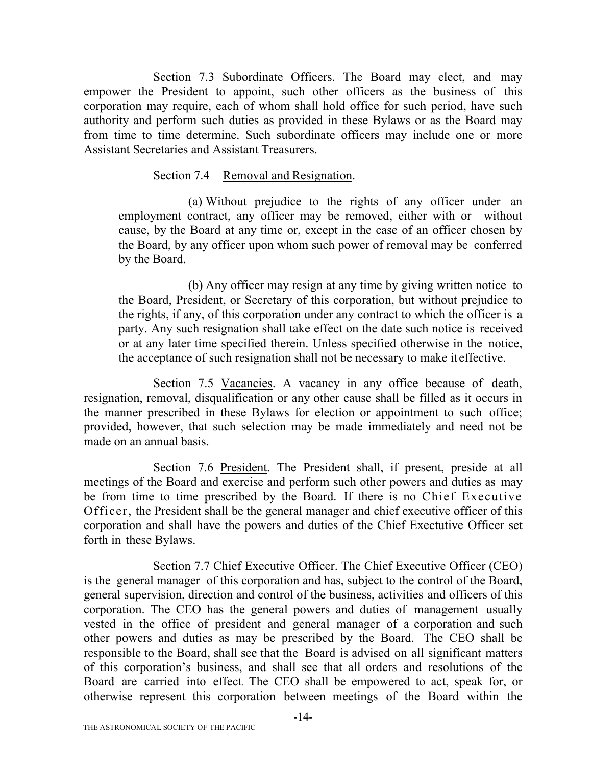Section 7.3 Subordinate Officers. The Board may elect, and may empower the President to appoint, such other officers as the business of this corporation may require, each of whom shall hold office for such period, have such authority and perform such duties as provided in these Bylaws or as the Board may from time to time determine. Such subordinate officers may include one or more Assistant Secretaries and Assistant Treasurers.

### Section 7.4 Removal and Resignation.

(a) Without prejudice to the rights of any officer under an employment contract, any officer may be removed, either with or without cause, by the Board at any time or, except in the case of an officer chosen by the Board, by any officer upon whom such power of removal may be conferred by the Board.

(b) Any officer may resign at any time by giving written notice to the Board, President, or Secretary of this corporation, but without prejudice to the rights, if any, of this corporation under any contract to which the officer is a party. Any such resignation shall take effect on the date such notice is received or at any later time specified therein. Unless specified otherwise in the notice, the acceptance of such resignation shall not be necessary to make it effective.

Section 7.5 Vacancies. A vacancy in any office because of death, resignation, removal, disqualification or any other cause shall be filled as it occurs in the manner prescribed in these Bylaws for election or appointment to such office; provided, however, that such selection may be made immediately and need not be made on an annual basis.

Section 7.6 President. The President shall, if present, preside at all meetings of the Board and exercise and perform such other powers and duties as may be from time to time prescribed by the Board. If there is no Chief Executive Officer, the President shall be the general manager and chief executive officer of this corporation and shall have the powers and duties of the Chief Exectutive Officer set forth in these Bylaws.

 Section 7.7 Chief Executive Officer. The Chief Executive Officer (CEO) is the general manager of this corporation and has, subject to the control of the Board, general supervision, direction and control of the business, activities and officers of this corporation. The CEO has the general powers and duties of management usually vested in the office of president and general manager of a corporation and such other powers and duties as may be prescribed by the Board. The CEO shall be responsible to the Board, shall see that the Board is advised on all significant matters of this corporation's business, and shall see that all orders and resolutions of the Board are carried into effect. The CEO shall be empowered to act, speak for, or otherwise represent this corporation between meetings of the Board within the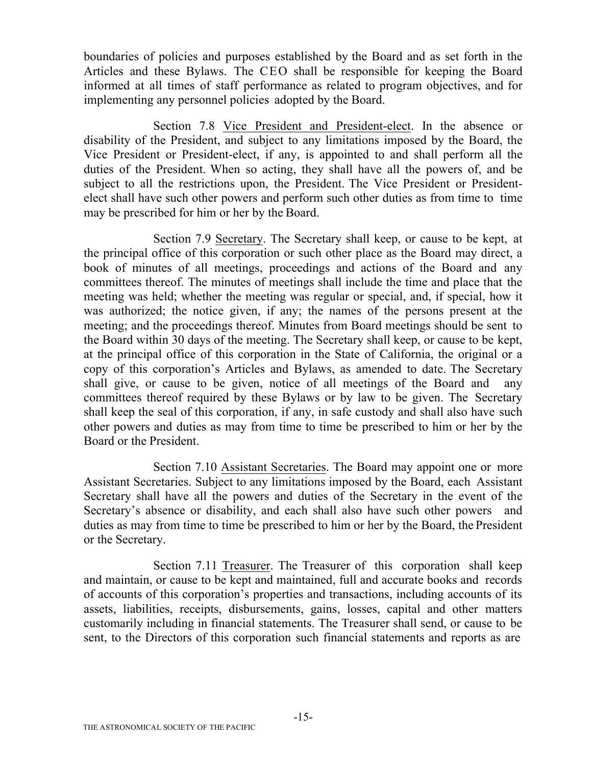boundaries of policies and purposes established by the Board and as set forth in the Articles and these Bylaws. The CEO shall be responsible for keeping the Board informed at all times of staff performance as related to program objectives, and for implementing any personnel policies adopted by the Board.

Section 7.8 Vice President and President-elect. In the absence or disability of the President, and subject to any limitations imposed by the Board, the Vice President or President-elect, if any, is appointed to and shall perform all the duties of the President. When so acting, they shall have all the powers of, and be subject to all the restrictions upon, the President. The Vice President or Presidentelect shall have such other powers and perform such other duties as from time to time may be prescribed for him or her by the Board.

Section 7.9 Secretary. The Secretary shall keep, or cause to be kept, at the principal office of this corporation or such other place as the Board may direct, a book of minutes of all meetings, proceedings and actions of the Board and any committees thereof. The minutes of meetings shall include the time and place that the meeting was held; whether the meeting was regular or special, and, if special, how it was authorized; the notice given, if any; the names of the persons present at the meeting; and the proceedings thereof. Minutes from Board meetings should be sent to the Board within 30 days of the meeting. The Secretary shall keep, or cause to be kept, at the principal office of this corporation in the State of California, the original or a copy of this corporation's Articles and Bylaws, as amended to date. The Secretary shall give, or cause to be given, notice of all meetings of the Board and any committees thereof required by these Bylaws or by law to be given. The Secretary shall keep the seal of this corporation, if any, in safe custody and shall also have such other powers and duties as may from time to time be prescribed to him or her by the Board or the President.

Section 7.10 Assistant Secretaries. The Board may appoint one or more Assistant Secretaries. Subject to any limitations imposed by the Board, each Assistant Secretary shall have all the powers and duties of the Secretary in the event of the Secretary's absence or disability, and each shall also have such other powers and duties as may from time to time be prescribed to him or her by the Board, the President or the Secretary.

Section 7.11 Treasurer. The Treasurer of this corporation shall keep and maintain, or cause to be kept and maintained, full and accurate books and records of accounts of this corporation's properties and transactions, including accounts of its assets, liabilities, receipts, disbursements, gains, losses, capital and other matters customarily including in financial statements. The Treasurer shall send, or cause to be sent, to the Directors of this corporation such financial statements and reports as are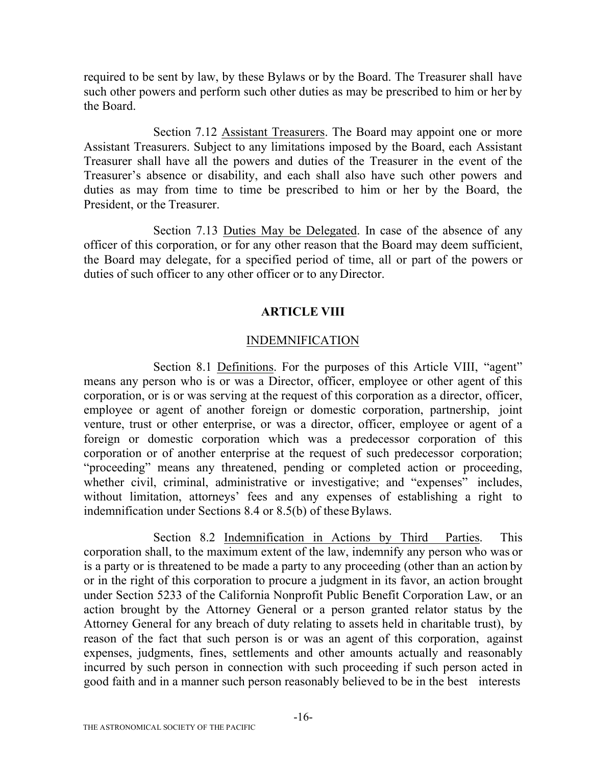required to be sent by law, by these Bylaws or by the Board. The Treasurer shall have such other powers and perform such other duties as may be prescribed to him or her by the Board.

Section 7.12 Assistant Treasurers. The Board may appoint one or more Assistant Treasurers. Subject to any limitations imposed by the Board, each Assistant Treasurer shall have all the powers and duties of the Treasurer in the event of the Treasurer's absence or disability, and each shall also have such other powers and duties as may from time to time be prescribed to him or her by the Board, the President, or the Treasurer.

Section 7.13 Duties May be Delegated. In case of the absence of any officer of this corporation, or for any other reason that the Board may deem sufficient, the Board may delegate, for a specified period of time, all or part of the powers or duties of such officer to any other officer or to any Director.

# **ARTICLE VIII**

## INDEMNIFICATION

Section 8.1 Definitions. For the purposes of this Article VIII, "agent" means any person who is or was a Director, officer, employee or other agent of this corporation, or is or was serving at the request of this corporation as a director, officer, employee or agent of another foreign or domestic corporation, partnership, joint venture, trust or other enterprise, or was a director, officer, employee or agent of a foreign or domestic corporation which was a predecessor corporation of this corporation or of another enterprise at the request of such predecessor corporation; "proceeding" means any threatened, pending or completed action or proceeding, whether civil, criminal, administrative or investigative; and "expenses" includes, without limitation, attorneys' fees and any expenses of establishing a right to indemnification under Sections 8.4 or 8.5(b) of these Bylaws.

Section 8.2 Indemnification in Actions by Third Parties. This corporation shall, to the maximum extent of the law, indemnify any person who was or is a party or is threatened to be made a party to any proceeding (other than an action by or in the right of this corporation to procure a judgment in its favor, an action brought under Section 5233 of the California Nonprofit Public Benefit Corporation Law, or an action brought by the Attorney General or a person granted relator status by the Attorney General for any breach of duty relating to assets held in charitable trust), by reason of the fact that such person is or was an agent of this corporation, against expenses, judgments, fines, settlements and other amounts actually and reasonably incurred by such person in connection with such proceeding if such person acted in good faith and in a manner such person reasonably believed to be in the best interests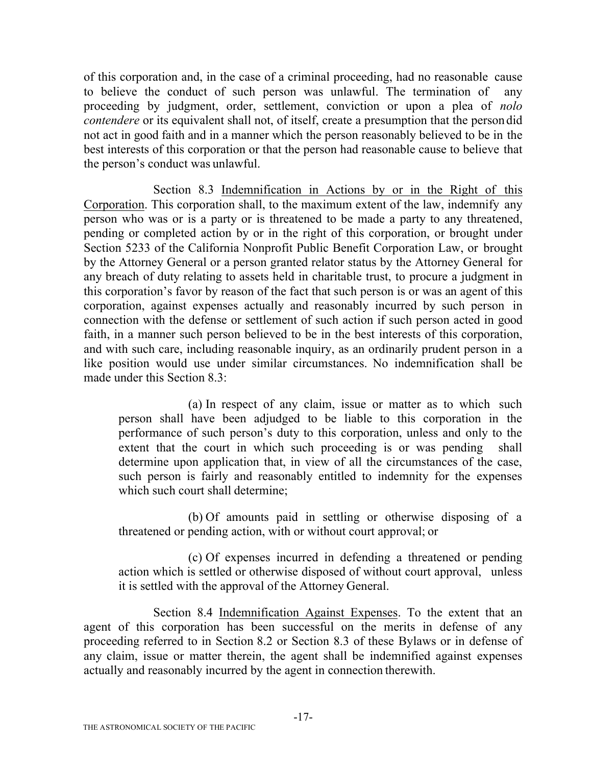of this corporation and, in the case of a criminal proceeding, had no reasonable cause to believe the conduct of such person was unlawful. The termination of any proceeding by judgment, order, settlement, conviction or upon a plea of *nolo contendere* or its equivalent shall not, of itself, create a presumption that the person did not act in good faith and in a manner which the person reasonably believed to be in the best interests of this corporation or that the person had reasonable cause to believe that the person's conduct was unlawful.

Section 8.3 Indemnification in Actions by or in the Right of this Corporation. This corporation shall, to the maximum extent of the law, indemnify any person who was or is a party or is threatened to be made a party to any threatened, pending or completed action by or in the right of this corporation, or brought under Section 5233 of the California Nonprofit Public Benefit Corporation Law, or brought by the Attorney General or a person granted relator status by the Attorney General for any breach of duty relating to assets held in charitable trust, to procure a judgment in this corporation's favor by reason of the fact that such person is or was an agent of this corporation, against expenses actually and reasonably incurred by such person in connection with the defense or settlement of such action if such person acted in good faith, in a manner such person believed to be in the best interests of this corporation, and with such care, including reasonable inquiry, as an ordinarily prudent person in a like position would use under similar circumstances. No indemnification shall be made under this Section 8.3:

(a) In respect of any claim, issue or matter as to which such person shall have been adjudged to be liable to this corporation in the performance of such person's duty to this corporation, unless and only to the extent that the court in which such proceeding is or was pending shall determine upon application that, in view of all the circumstances of the case, such person is fairly and reasonably entitled to indemnity for the expenses which such court shall determine;

(b) Of amounts paid in settling or otherwise disposing of a threatened or pending action, with or without court approval; or

(c) Of expenses incurred in defending a threatened or pending action which is settled or otherwise disposed of without court approval, unless it is settled with the approval of the Attorney General.

Section 8.4 Indemnification Against Expenses. To the extent that an agent of this corporation has been successful on the merits in defense of any proceeding referred to in Section 8.2 or Section 8.3 of these Bylaws or in defense of any claim, issue or matter therein, the agent shall be indemnified against expenses actually and reasonably incurred by the agent in connection therewith.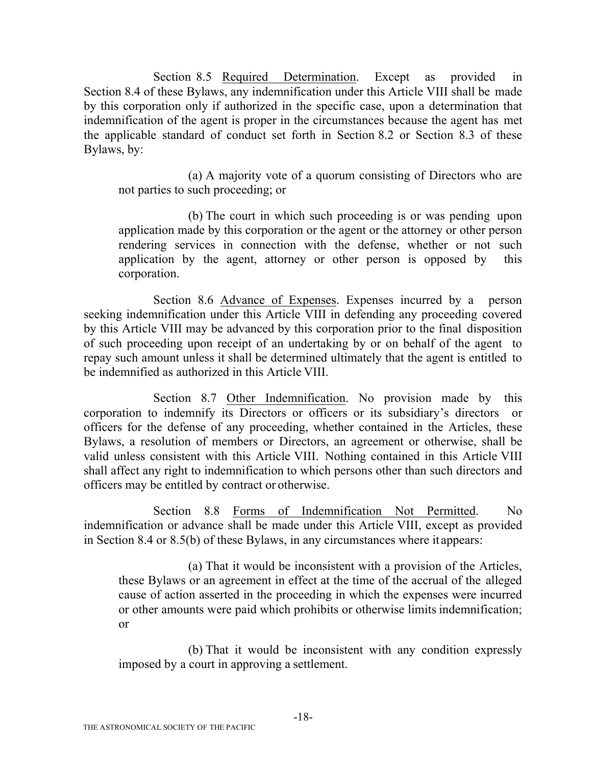Section 8.5 Required Determination. Except as provided in Section 8.4 of these Bylaws, any indemnification under this Article VIII shall be made by this corporation only if authorized in the specific case, upon a determination that indemnification of the agent is proper in the circumstances because the agent has met the applicable standard of conduct set forth in Section 8.2 or Section 8.3 of these Bylaws, by:

(a) A majority vote of a quorum consisting of Directors who are not parties to such proceeding; or

(b) The court in which such proceeding is or was pending upon application made by this corporation or the agent or the attorney or other person rendering services in connection with the defense, whether or not such application by the agent, attorney or other person is opposed by this corporation.

Section 8.6 Advance of Expenses. Expenses incurred by a person seeking indemnification under this Article VIII in defending any proceeding covered by this Article VIII may be advanced by this corporation prior to the final disposition of such proceeding upon receipt of an undertaking by or on behalf of the agent to repay such amount unless it shall be determined ultimately that the agent is entitled to be indemnified as authorized in this Article VIII.

Section 8.7 Other Indemnification. No provision made by this corporation to indemnify its Directors or officers or its subsidiary's directors or officers for the defense of any proceeding, whether contained in the Articles, these Bylaws, a resolution of members or Directors, an agreement or otherwise, shall be valid unless consistent with this Article VIII. Nothing contained in this Article VIII shall affect any right to indemnification to which persons other than such directors and officers may be entitled by contract or otherwise.

Section 8.8 Forms of Indemnification Not Permitted. No indemnification or advance shall be made under this Article VIII, except as provided in Section 8.4 or 8.5(b) of these Bylaws, in any circumstances where it appears:

(a) That it would be inconsistent with a provision of the Articles, these Bylaws or an agreement in effect at the time of the accrual of the alleged cause of action asserted in the proceeding in which the expenses were incurred or other amounts were paid which prohibits or otherwise limits indemnification; or

(b) That it would be inconsistent with any condition expressly imposed by a court in approving a settlement.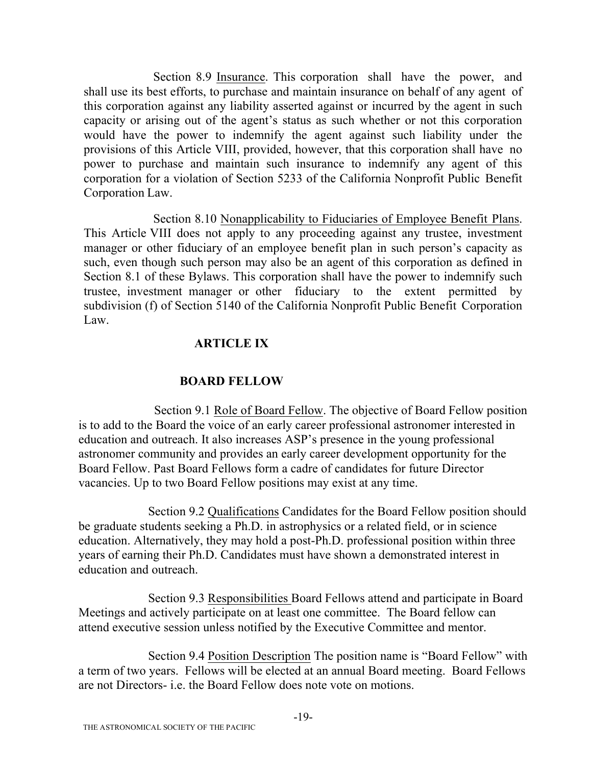Section 8.9 Insurance. This corporation shall have the power, and shall use its best efforts, to purchase and maintain insurance on behalf of any agent of this corporation against any liability asserted against or incurred by the agent in such capacity or arising out of the agent's status as such whether or not this corporation would have the power to indemnify the agent against such liability under the provisions of this Article VIII, provided, however, that this corporation shall have no power to purchase and maintain such insurance to indemnify any agent of this corporation for a violation of Section 5233 of the California Nonprofit Public Benefit Corporation Law.

Section 8.10 Nonapplicability to Fiduciaries of Employee Benefit Plans. This Article VIII does not apply to any proceeding against any trustee, investment manager or other fiduciary of an employee benefit plan in such person's capacity as such, even though such person may also be an agent of this corporation as defined in Section 8.1 of these Bylaws. This corporation shall have the power to indemnify such trustee, investment manager or other fiduciary to the extent permitted by subdivision (f) of Section 5140 of the California Nonprofit Public Benefit Corporation Law.

# **ARTICLE IX**

### **BOARD FELLOW**

 Section 9.1 Role of Board Fellow. The objective of Board Fellow position is to add to the Board the voice of an early career professional astronomer interested in education and outreach. It also increases ASP's presence in the young professional astronomer community and provides an early career development opportunity for the Board Fellow. Past Board Fellows form a cadre of candidates for future Director vacancies. Up to two Board Fellow positions may exist at any time.

Section 9.2 Qualifications Candidates for the Board Fellow position should be graduate students seeking a Ph.D. in astrophysics or a related field, or in science education. Alternatively, they may hold a post-Ph.D. professional position within three years of earning their Ph.D. Candidates must have shown a demonstrated interest in education and outreach.

Section 9.3 Responsibilities Board Fellows attend and participate in Board Meetings and actively participate on at least one committee. The Board fellow can attend executive session unless notified by the Executive Committee and mentor.

Section 9.4 Position Description The position name is "Board Fellow" with a term of two years. Fellows will be elected at an annual Board meeting. Board Fellows are not Directors- i.e. the Board Fellow does note vote on motions.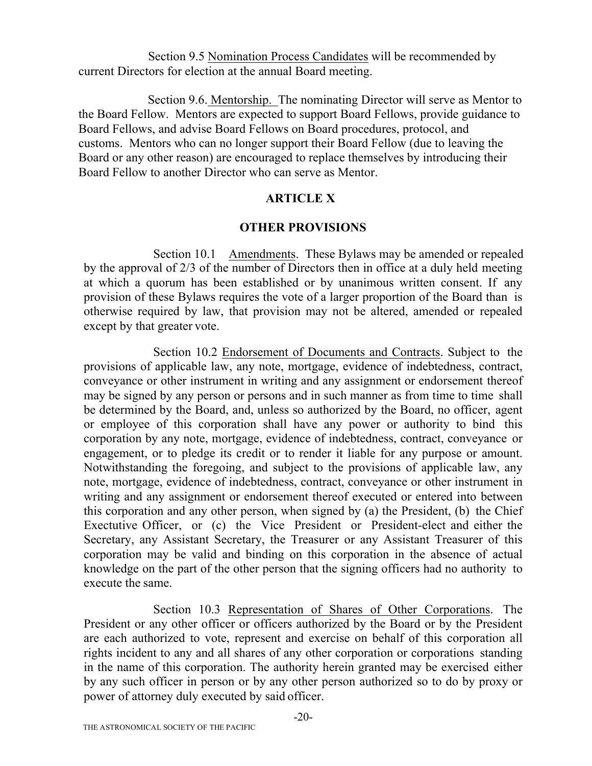Section 9.5 Nomination Process Candidates will be recommended by current Directors for election at the annual Board meeting.

 Section 9.6. Mentorship. The nominating Director will serve as Mentor to the Board Fellow. Mentors are expected to support Board Fellows, provide guidance to Board Fellows, and advise Board Fellows on Board procedures, protocol, and customs. Mentors who can no longer support their Board Fellow (due to leaving the Board or any other reason) are encouraged to replace themselves by introducing their Board Fellow to another Director who can serve as Mentor.

# **ARTICLE X**

# **OTHER PROVISIONS**

Section 10.1 Amendments. These Bylaws may be amended or repealed by the approval of 2/3 of the number of Directors then in office at a duly held meeting at which a quorum has been established or by unanimous written consent. If any provision of these Bylaws requires the vote of a larger proportion of the Board than is otherwise required by law, that provision may not be altered, amended or repealed except by that greater vote.

Section 10.2 Endorsement of Documents and Contracts. Subject to the provisions of applicable law, any note, mortgage, evidence of indebtedness, contract, conveyance or other instrument in writing and any assignment or endorsement thereof may be signed by any person or persons and in such manner as from time to time shall be determined by the Board, and, unless so authorized by the Board, no officer, agent or employee of this corporation shall have any power or authority to bind this corporation by any note, mortgage, evidence of indebtedness, contract, conveyance or engagement, or to pledge its credit or to render it liable for any purpose or amount. Notwithstanding the foregoing, and subject to the provisions of applicable law, any note, mortgage, evidence of indebtedness, contract, conveyance or other instrument in writing and any assignment or endorsement thereof executed or entered into between this corporation and any other person, when signed by (a) the President, (b) the Chief Exectutive Officer, or (c) the Vice President or President-elect and either the Secretary, any Assistant Secretary, the Treasurer or any Assistant Treasurer of this corporation may be valid and binding on this corporation in the absence of actual knowledge on the part of the other person that the signing officers had no authority to execute the same.

Section 10.3 Representation of Shares of Other Corporations. The President or any other officer or officers authorized by the Board or by the President are each authorized to vote, represent and exercise on behalf of this corporation all rights incident to any and all shares of any other corporation or corporations standing in the name of this corporation. The authority herein granted may be exercised either by any such officer in person or by any other person authorized so to do by proxy or power of attorney duly executed by said officer.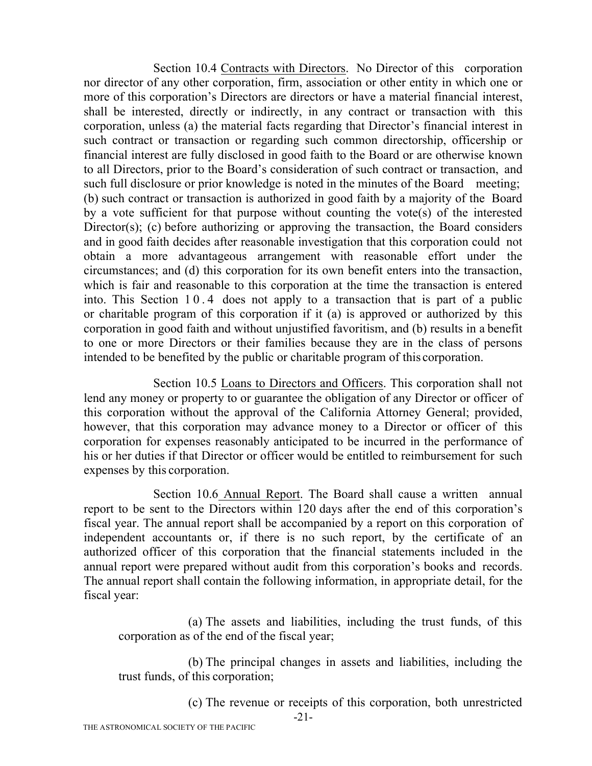Section 10.4 Contracts with Directors. No Director of this corporation nor director of any other corporation, firm, association or other entity in which one or more of this corporation's Directors are directors or have a material financial interest, shall be interested, directly or indirectly, in any contract or transaction with this corporation, unless (a) the material facts regarding that Director's financial interest in such contract or transaction or regarding such common directorship, officership or financial interest are fully disclosed in good faith to the Board or are otherwise known to all Directors, prior to the Board's consideration of such contract or transaction, and such full disclosure or prior knowledge is noted in the minutes of the Board meeting; (b) such contract or transaction is authorized in good faith by a majority of the Board by a vote sufficient for that purpose without counting the vote(s) of the interested Director(s); (c) before authorizing or approving the transaction, the Board considers and in good faith decides after reasonable investigation that this corporation could not obtain a more advantageous arrangement with reasonable effort under the circumstances; and (d) this corporation for its own benefit enters into the transaction, which is fair and reasonable to this corporation at the time the transaction is entered into. This Section 10.4 does not apply to a transaction that is part of a public or charitable program of this corporation if it (a) is approved or authorized by this corporation in good faith and without unjustified favoritism, and (b) results in a benefit to one or more Directors or their families because they are in the class of persons intended to be benefited by the public or charitable program of this corporation.

Section 10.5 Loans to Directors and Officers. This corporation shall not lend any money or property to or guarantee the obligation of any Director or officer of this corporation without the approval of the California Attorney General; provided, however, that this corporation may advance money to a Director or officer of this corporation for expenses reasonably anticipated to be incurred in the performance of his or her duties if that Director or officer would be entitled to reimbursement for such expenses by this corporation.

Section 10.6 Annual Report. The Board shall cause a written annual report to be sent to the Directors within 120 days after the end of this corporation's fiscal year. The annual report shall be accompanied by a report on this corporation of independent accountants or, if there is no such report, by the certificate of an authorized officer of this corporation that the financial statements included in the annual report were prepared without audit from this corporation's books and records. The annual report shall contain the following information, in appropriate detail, for the fiscal year:

(a) The assets and liabilities, including the trust funds, of this corporation as of the end of the fiscal year;

(b) The principal changes in assets and liabilities, including the trust funds, of this corporation;

(c) The revenue or receipts of this corporation, both unrestricted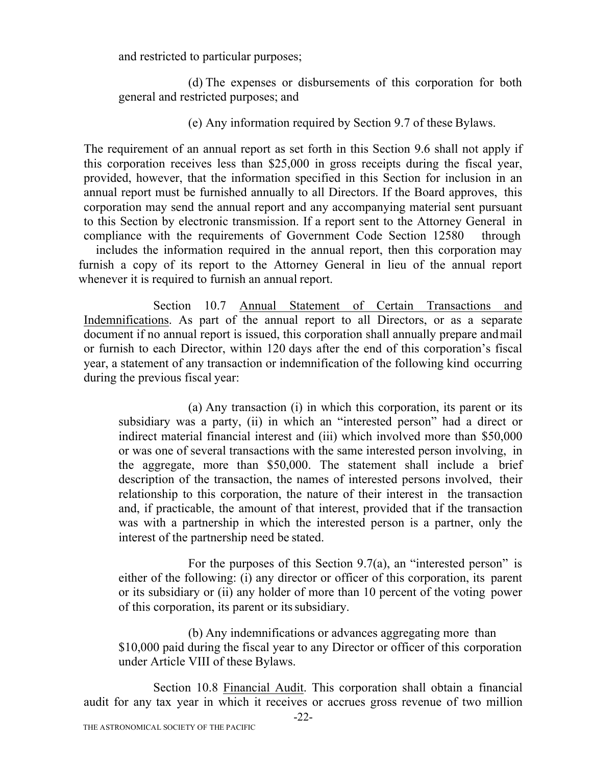and restricted to particular purposes;

(d) The expenses or disbursements of this corporation for both general and restricted purposes; and

(e) Any information required by Section 9.7 of these Bylaws.

The requirement of an annual report as set forth in this Section 9.6 shall not apply if this corporation receives less than \$25,000 in gross receipts during the fiscal year, provided, however, that the information specified in this Section for inclusion in an annual report must be furnished annually to all Directors. If the Board approves, this corporation may send the annual report and any accompanying material sent pursuant to this Section by electronic transmission. If a report sent to the Attorney General in compliance with the requirements of Government Code Section 12580 through

includes the information required in the annual report, then this corporation may furnish a copy of its report to the Attorney General in lieu of the annual report whenever it is required to furnish an annual report.

Section 10.7 Annual Statement of Certain Transactions and Indemnifications. As part of the annual report to all Directors, or as a separate document if no annual report is issued, this corporation shall annually prepare andmail or furnish to each Director, within 120 days after the end of this corporation's fiscal year, a statement of any transaction or indemnification of the following kind occurring during the previous fiscal year:

(a) Any transaction (i) in which this corporation, its parent or its subsidiary was a party, (ii) in which an "interested person" had a direct or indirect material financial interest and (iii) which involved more than \$50,000 or was one of several transactions with the same interested person involving, in the aggregate, more than \$50,000. The statement shall include a brief description of the transaction, the names of interested persons involved, their relationship to this corporation, the nature of their interest in the transaction and, if practicable, the amount of that interest, provided that if the transaction was with a partnership in which the interested person is a partner, only the interest of the partnership need be stated.

For the purposes of this Section 9.7(a), an "interested person" is either of the following: (i) any director or officer of this corporation, its parent or its subsidiary or (ii) any holder of more than 10 percent of the voting power of this corporation, its parent or itssubsidiary.

(b) Any indemnifications or advances aggregating more than \$10,000 paid during the fiscal year to any Director or officer of this corporation under Article VIII of these Bylaws.

Section 10.8 Financial Audit. This corporation shall obtain a financial audit for any tax year in which it receives or accrues gross revenue of two million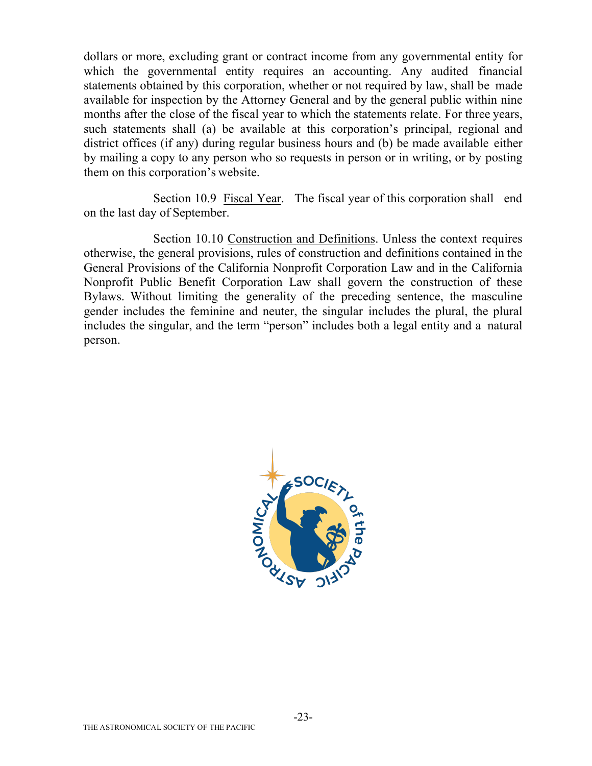dollars or more, excluding grant or contract income from any governmental entity for which the governmental entity requires an accounting. Any audited financial statements obtained by this corporation, whether or not required by law, shall be made available for inspection by the Attorney General and by the general public within nine months after the close of the fiscal year to which the statements relate. For three years, such statements shall (a) be available at this corporation's principal, regional and district offices (if any) during regular business hours and (b) be made available either by mailing a copy to any person who so requests in person or in writing, or by posting them on this corporation's website.

Section 10.9 Fiscal Year. The fiscal year of this corporation shall end on the last day of September.

Section 10.10 Construction and Definitions. Unless the context requires otherwise, the general provisions, rules of construction and definitions contained in the General Provisions of the California Nonprofit Corporation Law and in the California Nonprofit Public Benefit Corporation Law shall govern the construction of these Bylaws. Without limiting the generality of the preceding sentence, the masculine gender includes the feminine and neuter, the singular includes the plural, the plural includes the singular, and the term "person" includes both a legal entity and a natural person.